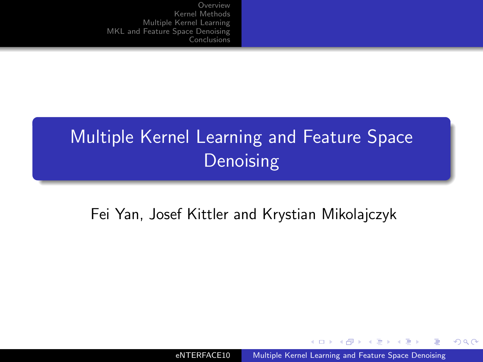# Multiple Kernel Learning and Feature Space **Denoising**

#### Fei Yan, Josef Kittler and Krystian Mikolajczyk

4 17 18

 $\sim$ i al T≣ <span id="page-0-0"></span> $QQ$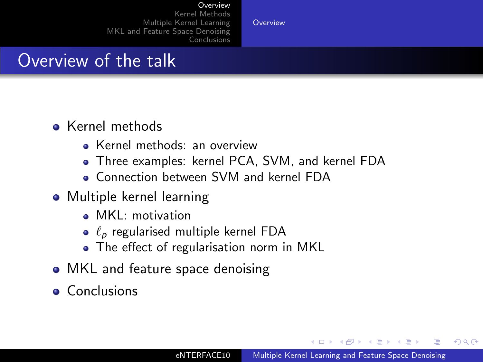#### [Overview](#page-1-0)

[Kernel Methods](#page-2-0) [Multiple Kernel Learning](#page-13-0) [MKL and Feature Space Denoising](#page-32-0) [Conclusions](#page-37-0)

[Overview](#page-1-0)

## Overview of the talk

- **A** Kernel methods
	- Kernel methods: an overview
	- Three examples: kernel PCA, SVM, and kernel FDA
	- Connection between SVM and kernel FDA
- Multiple kernel learning
	- MKL: motivation
	- $\bullet$   $\ell_p$  regularised multiple kernel FDA
	- The effect of regularisation norm in MKL
- MKL and feature space denoising
- **Conclusions**

 $\mathcal{A}$  and  $\mathcal{A}$  . In the set of  $\mathbb{R}^n$  is  $\mathcal{A}$  . The set

<span id="page-1-0"></span> $209$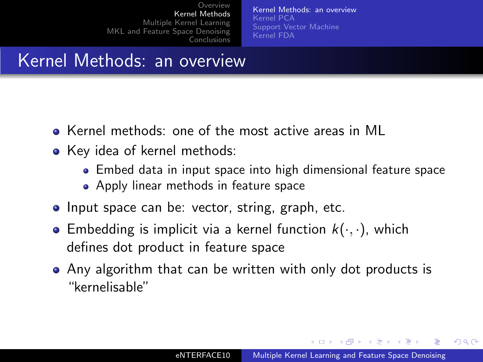[Kernel Methods: an overview](#page-2-0) [Kernel PCA](#page-3-0) [Support Vector Machine](#page-8-0) [Kernel FDA](#page-10-0)

### Kernel Methods: an overview

- Kernel methods: one of the most active areas in ML
- Key idea of kernel methods:
	- Embed data in input space into high dimensional feature space
	- **Apply linear methods in feature space**
- Input space can be: vector, string, graph, etc.
- **•** Embedding is implicit via a kernel function  $k(\cdot, \cdot)$ , which defines dot product in feature space
- Any algorithm that can be written with only dot products is "kernelisable"

<span id="page-2-0"></span>∢ロト ∢母ト ∢ヨト ∢ヨト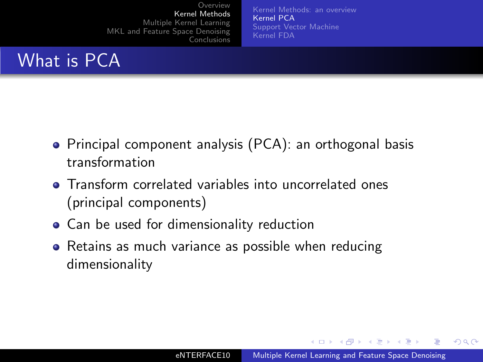[Kernel Methods: an overview](#page-2-0) [Kernel PCA](#page-3-0) [Support Vector Machine](#page-8-0) [Kernel FDA](#page-10-0)

# What is PCA

- Principal component analysis (PCA): an orthogonal basis transformation
- **•** Transform correlated variables into uncorrelated ones (principal components)
- Can be used for dimensionality reduction
- Retains as much variance as possible when reducing dimensionality

<span id="page-3-0"></span>メロメ メ母メ メミメ メミメ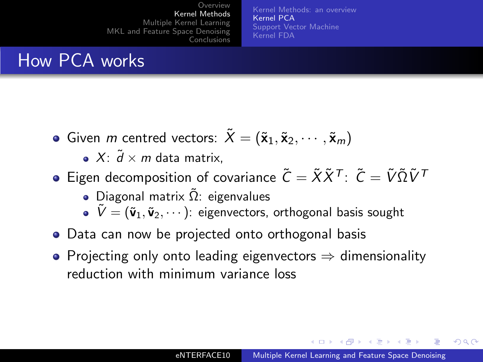[Kernel Methods: an overview](#page-2-0) [Kernel PCA](#page-3-0) [Support Vector Machine](#page-8-0) [Kernel FDA](#page-10-0)

## How PCA works

Given m centred vectors:  $\tilde{X} = (\tilde{\mathbf{x}}_1, \tilde{\mathbf{x}}_2, \cdots, \tilde{\mathbf{x}}_m)$ 

 $\bullet$  X:  $\tilde{d}$  × m data matrix,

- $\bullet$  Eigen decomposition of covariance  $\tilde{C} = \tilde{X} \tilde{X}^{\mathcal{T}}$ :  $\tilde{C} = \tilde{V} \tilde{\Omega} \tilde{V}^{\mathcal{T}}$ 
	- Diagonal matrix  $\Omega$ : eigenvalues
	- $\mathbf{\tilde{V}} = (\tilde{\mathbf{v}}_1, \tilde{\mathbf{v}}_2, \cdots)$ : eigenvectors, orthogonal basis sought
- Data can now be projected onto orthogonal basis
- Projecting only onto leading eigenvectors  $\Rightarrow$  dimensionality reduction with minimum variance loss

∢ ロ ⊁ ( 何 ) ( ミ ) ( ミ ) ( ニ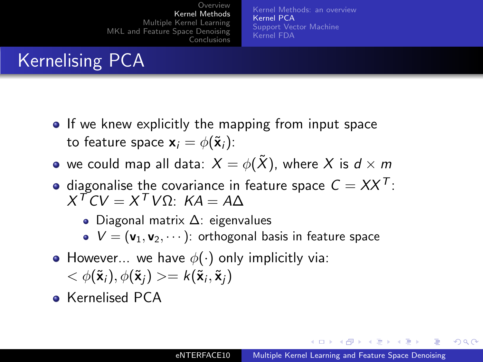[Kernel Methods: an overview](#page-2-0) [Kernel PCA](#page-3-0) [Support Vector Machine](#page-8-0) [Kernel FDA](#page-10-0)

# Kernelising PCA

- If we knew explicitly the mapping from input space to feature space  $\mathbf{x}_i = \phi(\tilde{\mathbf{x}}_i)$ :
- we could map all data:  $X = \phi(\tilde{X})$ , where X is  $d \times m$
- diagonalise the covariance in feature space  $C = XX<sup>T</sup>$ :  $X^{\mathcal{T}}CV = X^{\mathcal{T}}V\Omega$ :  $KA = A\Delta$ 
	- Diagonal matrix ∆: eigenvalues
	- $\bullet V = (\mathsf{v}_1, \mathsf{v}_2, \cdots)$ : orthogonal basis in feature space
- However... we have  $\phi(\cdot)$  only implicitly via:  $<\phi(\tilde{\mathbf{x}}_i),\phi(\tilde{\mathbf{x}}_j)>=k(\tilde{\mathbf{x}}_i,\tilde{\mathbf{x}}_j)$
- **•** Kernelised PCA

イロト イタト イモト イモト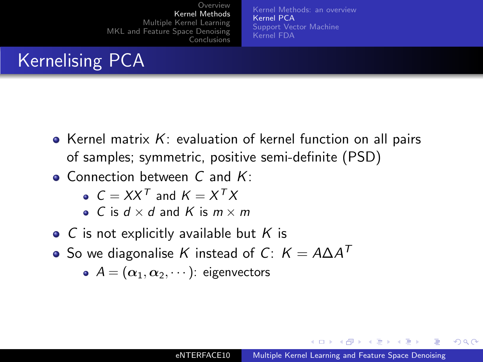[Kernel Methods: an overview](#page-2-0) [Kernel PCA](#page-3-0) [Support Vector Machine](#page-8-0) [Kernel FDA](#page-10-0)

# Kernelising PCA

- Kernel matrix  $K$ : evaluation of kernel function on all pairs of samples; symmetric, positive semi-definite (PSD)
- $\bullet$  Connection between C and K:
	- $C = XX^T$  and  $K = X^T X$
	- C is  $d \times d$  and K is  $m \times m$
- $\bullet$  C is not explicitly available but K is
- So we diagonalise  $K$  instead of  $C\colon\thinspace \mathcal{K}=A\Delta A^T$ 
	- $A = (\alpha_1, \alpha_2, \cdots)$ : eigenvectors

イロト イタト イモト イモト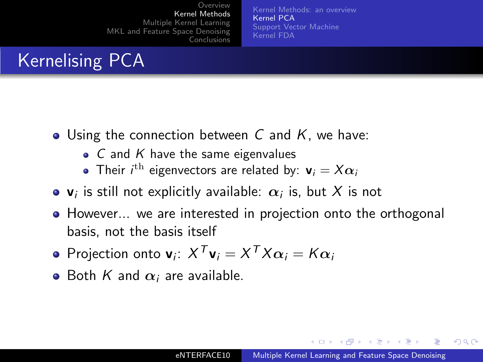[Kernel Methods: an overview](#page-2-0) [Kernel PCA](#page-3-0) [Support Vector Machine](#page-8-0) [Kernel FDA](#page-10-0)

# Kernelising PCA

- $\bullet$  Using the connection between C and K, we have:
	- $\bullet$  C and K have the same eigenvalues
	- Their  $i^{\text{th}}$  eigenvectors are related by:  $\textbf{v}_i = X \boldsymbol{\alpha}_i$
- $\mathsf{v}_i$  is still not explicitly available:  $\alpha_i$  is, but  $X$  is not
- However... we are interested in projection onto the orthogonal basis, not the basis itself
- Projection onto  $\mathbf{v}_i$ :  $X^T \mathbf{v}_i = X^T X \alpha_i = K \alpha_i$
- Both K and  $\alpha_i$  are available.

イロト イタト イモト イモト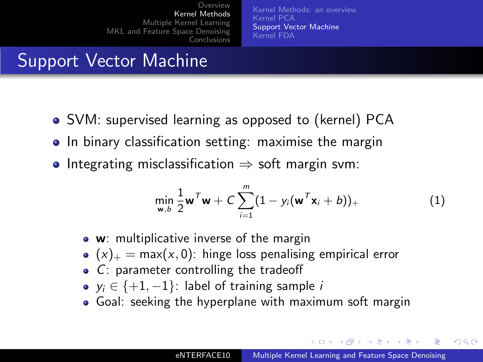[Kernel Methods: an overview](#page-2-0) [Kernel PCA](#page-3-0) [Support Vector Machine](#page-8-0) [Kernel FDA](#page-10-0)

# Support Vector Machine

- SVM: supervised learning as opposed to (kernel) PCA
- In binary classification setting: maximise the margin
- Integrating misclassification  $\Rightarrow$  soft margin svm:

<span id="page-8-1"></span>
$$
\min_{\mathbf{w},b}\frac{1}{2}\mathbf{w}^T\mathbf{w}+C\sum_{i=1}^m(1-y_i(\mathbf{w}^T\mathbf{x}_i+b))_+\tag{1}
$$

- **w**: multiplicative inverse of the margin
- $(x)_+$  = max(x, 0): hinge loss penalising empirical error
- C: parameter controlling the tradeoff
- $y_i \in \{+1, -1\}$ : label of training sample *i*
- Goal: seeking the hyperplane with maximum soft margin

∢ロト ∢母ト ∢ヨト ∢ヨト

<span id="page-8-0"></span>つへへ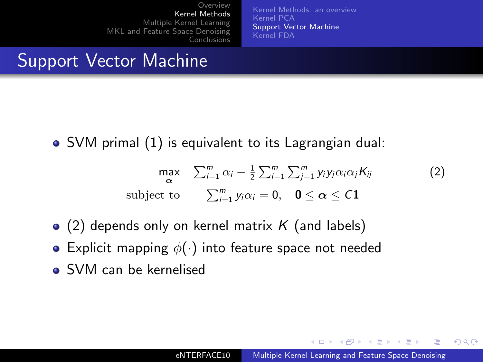[Kernel Methods: an overview](#page-2-0) [Kernel PCA](#page-3-0) [Support Vector Machine](#page-8-0) [Kernel FDA](#page-10-0)

# Support Vector Machine

SVM primal [\(1\)](#page-8-1) is equivalent to its Lagrangian dual:

$$
\max_{\alpha} \sum_{i=1}^{m} \alpha_i - \frac{1}{2} \sum_{i=1}^{m} \sum_{j=1}^{m} y_i y_j \alpha_i \alpha_j K_{ij}
$$
 (2)  
subject to 
$$
\sum_{i=1}^{m} y_i \alpha_i = 0, \quad 0 \le \alpha \le C1
$$

- $\bullet$  [\(2\)](#page-9-0) depends only on kernel matrix K (and labels)
- Explicit mapping  $\phi(\cdot)$  into feature space not needed
- SVM can be kernelised

<span id="page-9-0"></span>メロメ メ母メ メミメ メミメ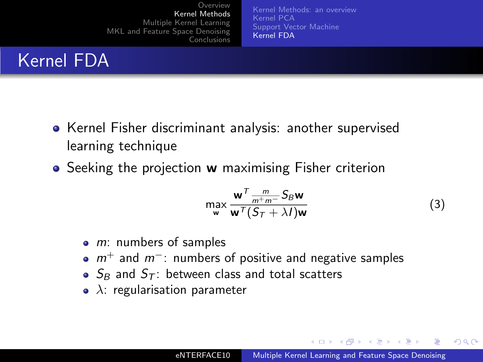[Kernel Methods: an overview](#page-2-0) [Kernel PCA](#page-3-0) [Support Vector Machine](#page-8-0) [Kernel FDA](#page-10-0)

# Kernel FDA

- Kernel Fisher discriminant analysis: another supervised learning technique
- Seeking the projection w maximising Fisher criterion

<span id="page-10-1"></span>
$$
\max_{\mathbf{w}} \frac{\mathbf{w}^T \frac{m}{m^+ m^-} S_B \mathbf{w}}{\mathbf{w}^T (S_T + \lambda I) \mathbf{w}}
$$
(3)

- $\bullet$  m: numbers of samples
- $m^+$  and  $m^-$ : numbers of positive and negative samples
- $S_B$  and  $S_T$ : between class and total scatters
- $\lambda$ : regularisation parameter

<span id="page-10-0"></span>メロメ メ母メ メミメ メミメ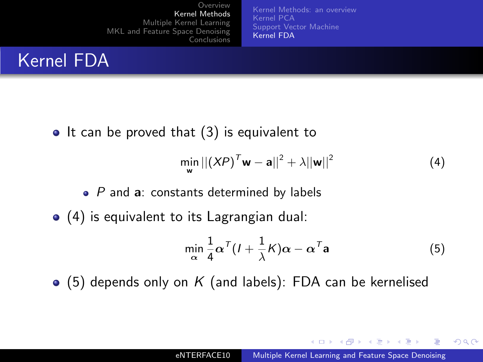[Kernel Methods: an overview](#page-2-0) [Kernel PCA](#page-3-0) [Support Vector Machine](#page-8-0) [Kernel FDA](#page-10-0)

# Kernel FDA

 $\bullet$  It can be proved that  $(3)$  is equivalent to

<span id="page-11-0"></span>
$$
\min_{\mathbf{w}} ||(XP)^T \mathbf{w} - \mathbf{a}||^2 + \lambda ||\mathbf{w}||^2
$$
 (4)

- $\bullet$  P and  $\bullet$ : constants determined by labels
- [\(4\)](#page-11-0) is equivalent to its Lagrangian dual:

<span id="page-11-1"></span>
$$
\min_{\alpha} \frac{1}{4} \alpha^{T} (I + \frac{1}{\lambda} K) \alpha - \alpha^{T} \mathbf{a}
$$
 (5)

 $\bullet$  [\(5\)](#page-11-1) depends only on K (and labels): FDA can be kernelised

メロメ メ母メ メミメ メミメ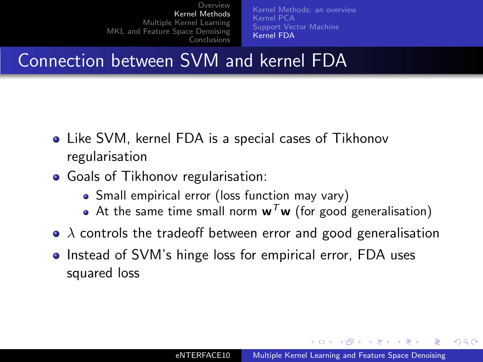[Kernel Methods: an overview](#page-2-0) [Kernel PCA](#page-3-0) [Support Vector Machine](#page-8-0) [Kernel FDA](#page-10-0)

#### Connection between SVM and kernel FDA

- Like SVM, kernel FDA is a special cases of Tikhonov regularisation
- Goals of Tikhonov regularisation:
	- Small empirical error (loss function may vary)
	- At the same time small norm  $w<sup>T</sup>w$  (for good generalisation)
- $\bullet$   $\lambda$  controls the tradeoff between error and good generalisation
- Instead of SVM's hinge loss for empirical error, FDA uses squared loss

ィロト イタト イモト イモト

つへへ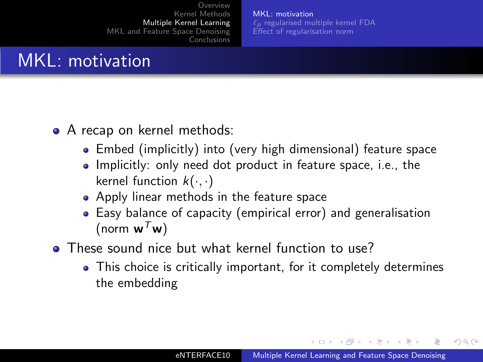[MKL: motivation](#page-13-0)  $\ell_p$  [regularised multiple kernel FDA](#page-17-0) [Effect of regularisation norm](#page-21-0)

# MKL: motivation

- A recap on kernel methods:
	- Embed (implicitly) into (very high dimensional) feature space
	- Implicitly: only need dot product in feature space, i.e., the kernel function  $k(\cdot, \cdot)$
	- Apply linear methods in the feature space
	- Easy balance of capacity (empirical error) and generalisation (norm  $w^T w$ )
- **These sound nice but what kernel function to use?** 
	- This choice is critically important, for it completely determines the embedding

∢ロト ∢母ト ∢ヨト ∢ヨト

<span id="page-13-0"></span> $209$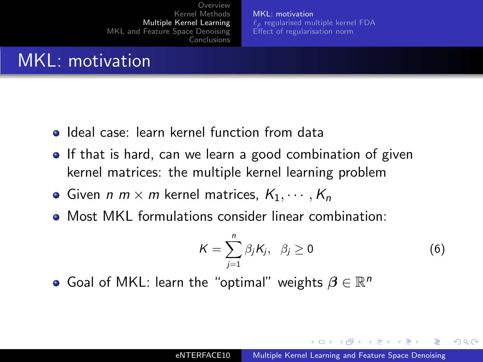[MKL: motivation](#page-13-0)  $\ell_p$  [regularised multiple kernel FDA](#page-17-0) [Effect of regularisation norm](#page-21-0)

# MKL: motivation

- **o** Ideal case: learn kernel function from data
- **If that is hard, can we learn a good combination of given** kernel matrices: the multiple kernel learning problem
- Given  $n \times m$  kernel matrices,  $K_1, \cdots, K_n$
- Most MKL formulations consider linear combination:

$$
K=\sum_{j=1}^n\beta_jK_j,\ \beta_j\geq 0\qquad \qquad (6)
$$

Goal of MKL: learn the "optimal" weights  $\beta \in \mathbb{R}^n$ 

イロト イ母 トイヨ トイヨ トー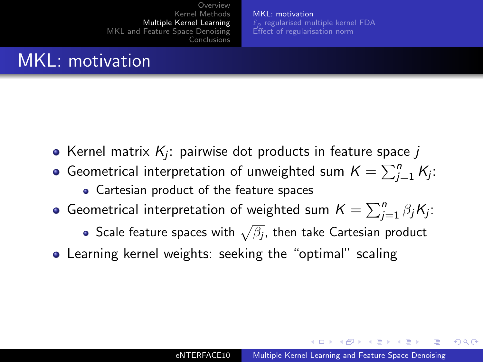[MKL: motivation](#page-13-0)  $\ell_p$  [regularised multiple kernel FDA](#page-17-0) [Effect of regularisation norm](#page-21-0)

# MKL: motivation

- Kernel matrix  $\mathcal{K}_{j}$ : pairwise dot products in feature space  $j$
- Geometrical interpretation of unweighted sum  $K = \sum_{j=1}^n K_j$ :
	- Cartesian product of the feature spaces
- Geometrical interpretation of weighted sum  $\mathcal{K} = \sum_{j=1}^n \beta_j K_j$ :
	- Scale feature spaces with  $\sqrt{\beta_j}$ , then take Cartesian product
- **•** Learning kernel weights: seeking the "optimal" scaling

∢ ロ ▶ ( 何 ) ( ミ ) ( ミ )

 $209$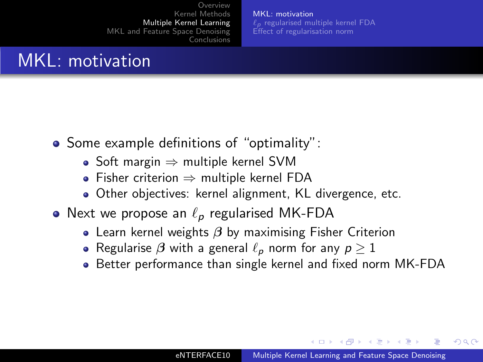[MKL: motivation](#page-13-0)  $\ell_p$  [regularised multiple kernel FDA](#page-17-0) [Effect of regularisation norm](#page-21-0)

## MKL: motivation

- Some example definitions of "optimality":
	- Soft margin  $\Rightarrow$  multiple kernel SVM
	- Fisher criterion ⇒ multiple kernel FDA
	- Other objectives: kernel alignment, KL divergence, etc.
- Next we propose an  $\ell_p$  regularised MK-FDA
	- Learn kernel weights  $\beta$  by maximising Fisher Criterion
	- $\bullet$  Regularise  $\beta$  with a general  $\ell_p$  norm for any  $p \geq 1$
	- Better performance than single kernel and fixed norm MK-FDA

イロト イタト イモト イモト

つへへ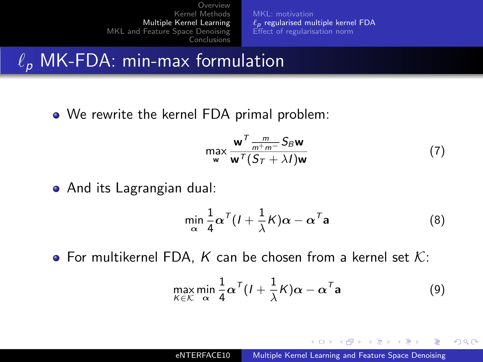[MKL: motivation](#page-13-0)  $\ell_p$  [regularised multiple kernel FDA](#page-17-0) [Effect of regularisation norm](#page-21-0)

#### $\ell_p$  MK-FDA: min-max formulation

• We rewrite the kernel FDA primal problem:

$$
\max_{\mathbf{w}} \frac{\mathbf{w}^T \frac{m}{m^+ m^-} S_B \mathbf{w}}{\mathbf{w}^T (S_T + \lambda I) \mathbf{w}}
$$
(7)

And its Lagrangian dual:

$$
\min_{\alpha} \frac{1}{4} \alpha^{T} (I + \frac{1}{\lambda} K) \alpha - \alpha^{T} \mathbf{a}
$$
 (8)

• For multikernel FDA, K can be chosen from a kernel set  $K$ :

<span id="page-17-1"></span>
$$
\max_{K \in \mathcal{K}} \min_{\alpha} \frac{1}{4} \alpha^T (I + \frac{1}{\lambda} K) \alpha - \alpha^T \mathbf{a}
$$
 (9)

<span id="page-17-0"></span>メロメ メ母メ メミメ メミメ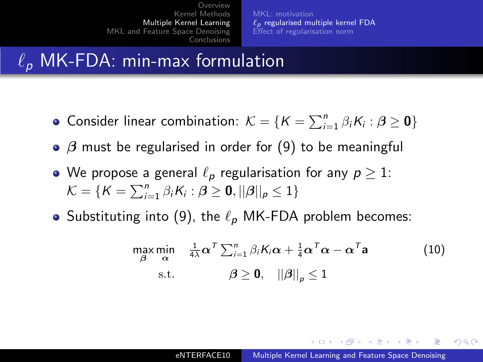$\ell_p$  [regularised multiple kernel FDA](#page-17-0) [Effect of regularisation norm](#page-21-0)

# $\ell_{p}$  MK-FDA: min-max formulation

- Consider linear combination:  $\mathcal{K} = \{K = \sum_{i=1}^{n} \beta_i K_i : \boldsymbol{\beta} \geq \mathbf{0}\}\$
- $\beta$  must be regularised in order for [\(9\)](#page-17-1) to be meaningful
- We propose a general  $\ell_p$  regularisation for any  $p \geq 1$ :  $\mathcal{K} = \{K = \sum_{i=1}^{n} \beta_i K_i : \boldsymbol{\beta} \geq \mathbf{0}, ||\boldsymbol{\beta}||_p \leq 1\}$
- Substituting into [\(9\)](#page-17-1), the  $\ell_p$  MK-FDA problem becomes:

<span id="page-18-0"></span>
$$
\max_{\beta} \min_{\alpha} \quad \frac{1}{4\lambda} \alpha^T \sum_{i=1}^n \beta_i K_i \alpha + \frac{1}{4} \alpha^T \alpha - \alpha^T \mathbf{a} \tag{10}
$$
  
s.t. 
$$
\beta \ge 0, \quad ||\beta||_p \le 1
$$

イロト イ母 トイヨ トイヨ トー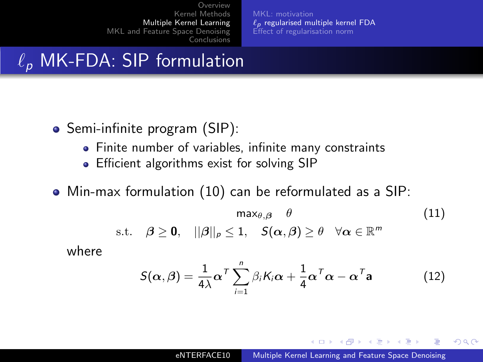$\ell_p$  [regularised multiple kernel FDA](#page-17-0) [Effect of regularisation norm](#page-21-0)

## $\ell_p$  MK-FDA: SIP formulation

- Semi-infinite program (SIP):
	- Finite number of variables, infinite many constraints
	- **•** Efficient algorithms exist for solving SIP
- Min-max formulation [\(10\)](#page-18-0) can be reformulated as a SIP:

$$
\max_{\theta,\beta} \theta \qquad (11)
$$
  
s.t.  $\beta \ge 0$ ,  $||\beta||_{\rho} \le 1$ ,  $S(\alpha,\beta) \ge \theta \quad \forall \alpha \in \mathbb{R}^m$ 

where

$$
S(\alpha, \beta) = \frac{1}{4\lambda} \alpha^{\mathsf{T}} \sum_{i=1}^{n} \beta_i K_i \alpha + \frac{1}{4} \alpha^{\mathsf{T}} \alpha - \alpha^{\mathsf{T}} \mathbf{a}
$$
 (12)

メロメ メ母メ メミメ メミメ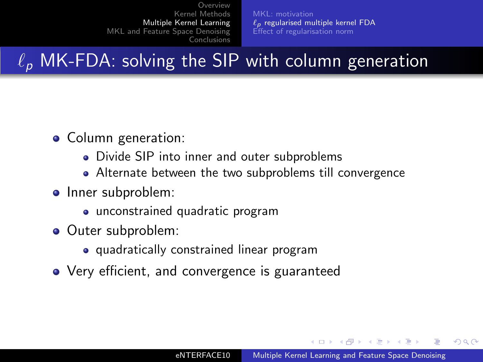$\ell_p$  [regularised multiple kernel FDA](#page-17-0) [Effect of regularisation norm](#page-21-0)

 $\ell_{p}$  MK-FDA: solving the SIP with column generation

- Column generation:
	- Divide SIP into inner and outer subproblems
	- Alternate between the two subproblems till convergence
- Inner subproblem:
	- unconstrained quadratic program
- Outer subproblem:
	- quadratically constrained linear program
- Very efficient, and convergence is guaranteed

- ④ 伊 ≯ ④ 重 ≯ ④ 重

つくへ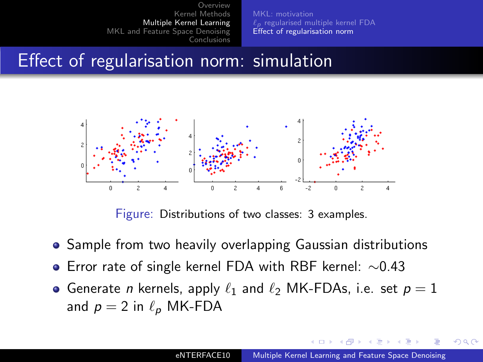$\ell_p$  [regularised multiple kernel FDA](#page-17-0) [Effect of regularisation norm](#page-21-0)

#### Effect of regularisation norm: simulation



Figure: Distributions of two classes: 3 examples.

- **•** Sample from two heavily overlapping Gaussian distributions
- Error rate of single kernel FDA with RBF kernel: ∼0.43
- Generate *n* kernels, apply  $\ell_1$  and  $\ell_2$  MK-FDAs, i.e. set  $p = 1$ and  $p = 2$  in  $\ell_p$  MK-FDA

4 17 18

 $\overline{AB}$ 

**ALCOHOL:** 

<span id="page-21-0"></span>つへへ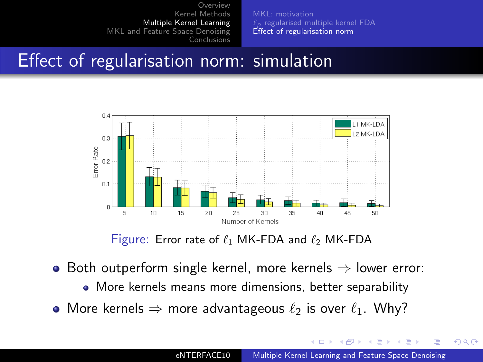$\ell_p$  [regularised multiple kernel FDA](#page-17-0) [Effect of regularisation norm](#page-21-0)

#### Effect of regularisation norm: simulation



Figure: Error rate of  $\ell_1$  MK-FDA and  $\ell_2$  MK-FDA

- $\bullet$  Both outperform single kernel, more kernels  $\Rightarrow$  lower error:
	- More kernels means more dimensions, better separability
- More kernels  $\Rightarrow$  more advantageous  $\ell_2$  is over  $\ell_1$ . Why?

4 17 18

任

 $QQ$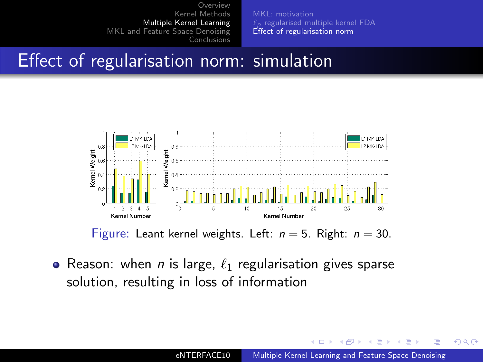[MKL: motivation](#page-13-0)  $\ell_p$  [regularised multiple kernel FDA](#page-17-0) [Effect of regularisation norm](#page-21-0)

#### Effect of regularisation norm: simulation



Figure: Leant kernel weights. Left:  $n = 5$ . Right:  $n = 30$ .

• Reason: when *n* is large,  $\ell_1$  regularisation gives sparse solution, resulting in loss of information

 $QQ$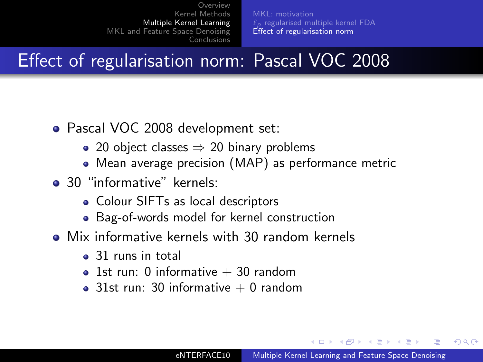$\ell_p$  [regularised multiple kernel FDA](#page-17-0) [Effect of regularisation norm](#page-21-0)

# Effect of regularisation norm: Pascal VOC 2008

- Pascal VOC 2008 development set:
	- 20 object classes  $\Rightarrow$  20 binary problems
	- Mean average precision (MAP) as performance metric
- 30 "informative" kernels:
	- Colour SIFTs as local descriptors
	- Bag-of-words model for kernel construction
- Mix informative kernels with 30 random kernels
	- 31 runs in total
	- 1st run: 0 informative  $+$  30 random
	- 31st run: 30 informative  $+$  0 random

**Adams Adams Adams** 

つくへ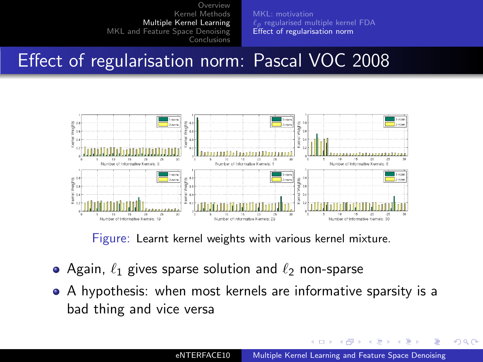$\ell_p$  [regularised multiple kernel FDA](#page-17-0) [Effect of regularisation norm](#page-21-0)

# Effect of regularisation norm: Pascal VOC 2008



Figure: Learnt kernel weights with various kernel mixture.

- Again,  $\ell_1$  gives sparse solution and  $\ell_2$  non-sparse
- A hypothesis: when most kernels are informative sparsity is a bad thing and vice versa

4 17 18  $\overline{A}$  $\sim$  $\leftarrow$   $\equiv$  $\sim$   $QQ$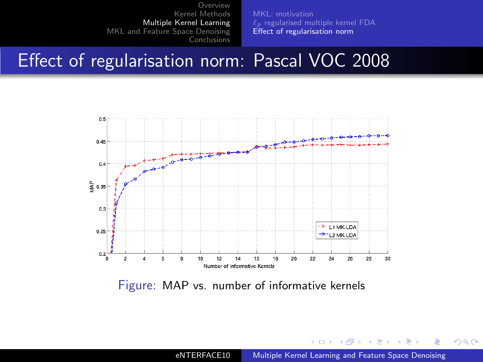[MKL: motivation](#page-13-0)  $\ell_p$  [regularised multiple kernel FDA](#page-17-0) [Effect of regularisation norm](#page-21-0)

#### Effect of regularisation norm: Pascal VOC 2008



Figure: MAP vs. number of informative kernels

eNTERFACE10 [Multiple Kernel Learning and Feature Space Denoising](#page-0-0)

4 0 8

4母 ト 4回 ト

一 一 三 **In** э  $2990$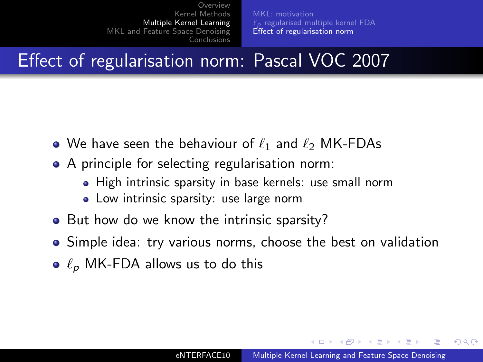$\ell_p$  [regularised multiple kernel FDA](#page-17-0) [Effect of regularisation norm](#page-21-0)

Effect of regularisation norm: Pascal VOC 2007

- We have seen the behaviour of  $\ell_1$  and  $\ell_2$  MK-FDAs
- A principle for selecting regularisation norm:
	- High intrinsic sparsity in base kernels: use small norm
	- Low intrinsic sparsity: use large norm
- But how do we know the intrinsic sparsity?
- Simple idea: try various norms, choose the best on validation
- $\bullet$   $\ell_p$  MK-FDA allows us to do this

イロト イタト イモト イモト

つへへ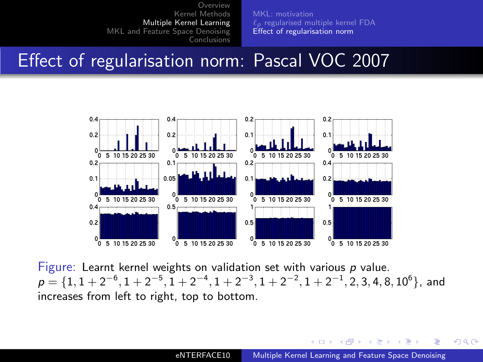[MKL: motivation](#page-13-0)  $\ell_p$  [regularised multiple kernel FDA](#page-17-0) [Effect of regularisation norm](#page-21-0)

## Effect of regularisation norm: Pascal VOC 2007



Figure: Learnt kernel weights on validation set with various  $p$  value.  $p=\{1, 1+2^{-6}, 1+2^{-5}, 1+2^{-4}, 1+2^{-3}, 1+2^{-2}, 1+2^{-1}, 2, 3, 4, 8, 10^6\},$  and increases from left to right, top to bottom.

a miller **A 60 K**  **ALCOHOL:** 

 $QQ$ 

后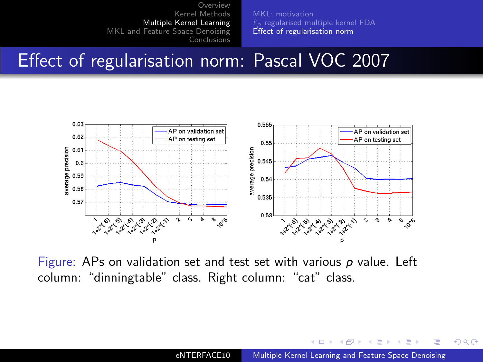$\ell_p$  [regularised multiple kernel FDA](#page-17-0) [Effect of regularisation norm](#page-21-0)

#### Effect of regularisation norm: Pascal VOC 2007



Figure: APs on validation set and test set with various  $p$  value. Left column: "dinningtable" class. Right column: "cat" class.

4 17 18  $\overline{A}$  $\sim$ 4. 重  $\mathbf{h}$   $QQ$ 

Ξ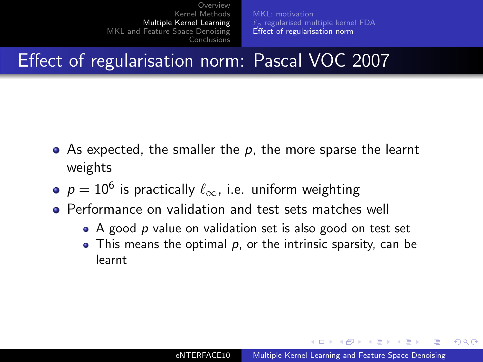$\ell_p$  [regularised multiple kernel FDA](#page-17-0) [Effect of regularisation norm](#page-21-0)

Effect of regularisation norm: Pascal VOC 2007

- $\bullet$  As expected, the smaller the p, the more sparse the learnt weights
- $\rho = 10^6$  is practically  $\ell_{\infty}$ , i.e. uniform weighting
- **•** Performance on validation and test sets matches well
	- $\bullet$  A good p value on validation set is also good on test set
	- $\bullet$  This means the optimal p, or the intrinsic sparsity, can be learnt

∢ロト ∢母ト ∢ヨト ∢ヨト

つへへ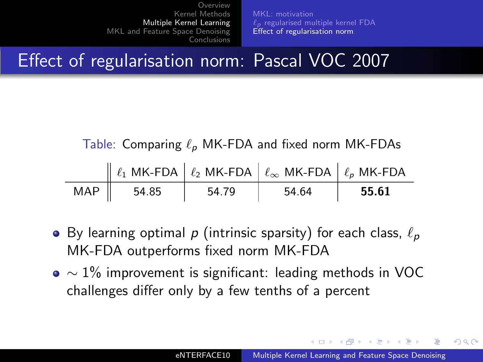$\ell_p$  [regularised multiple kernel FDA](#page-17-0) [Effect of regularisation norm](#page-21-0)

Effect of regularisation norm: Pascal VOC 2007

Table: Comparing  $\ell_p$  MK-FDA and fixed norm MK-FDAs

|     |       |       | $\parallel \ell_1$ MK-FDA $\parallel \ell_2$ MK-FDA $\parallel \ell_{\infty}$ MK-FDA $\parallel \ell_p$ MK-FDA |       |
|-----|-------|-------|----------------------------------------------------------------------------------------------------------------|-------|
| MAP | 54.85 | 54.79 | 54.64                                                                                                          | 55.61 |

- By learning optimal p (intrinsic sparsity) for each class,  $\ell_p$ MK-FDA outperforms fixed norm MK-FDA
- $\bullet \sim 1\%$  improvement is significant: leading methods in VOC challenges differ only by a few tenths of a percent

イロト イタト イモト イモト

つくへ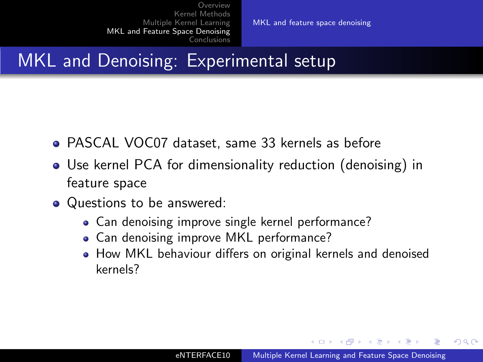[MKL and feature space denoising](#page-32-0)

# MKL and Denoising: Experimental setup

- PASCAL VOC07 dataset, same 33 kernels as before
- Use kernel PCA for dimensionality reduction (denoising) in feature space
- Questions to be answered:
	- Can denoising improve single kernel performance?
	- Can denoising improve MKL performance?
	- How MKL behaviour differs on original kernels and denoised kernels?

 $\mathcal{A}$  and  $\mathcal{A}$  in the set of  $\mathbb{R}^n$  is a set of  $\mathbb{R}^n$  is

<span id="page-32-0"></span>つへへ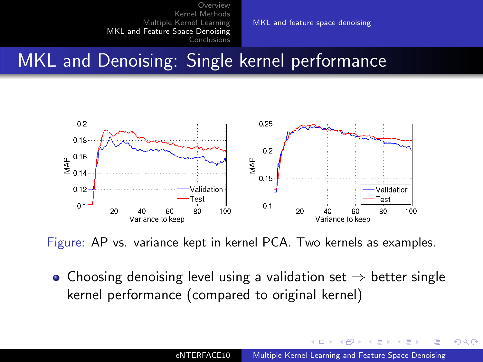[MKL and feature space denoising](#page-32-0)

# MKL and Denoising: Single kernel performance



Figure: AP vs. variance kept in kernel PCA. Two kernels as examples.

• Choosing denoising level using a validation set  $\Rightarrow$  better single kernel performance (compared to original kernel)

 $QQ$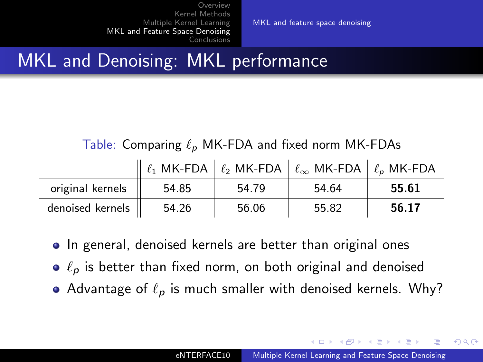[MKL and feature space denoising](#page-32-0)

# MKL and Denoising: MKL performance

Table: Comparing  $\ell_p$  MK-FDA and fixed norm MK-FDAs

|                  |       |       | $\parallel$ $\ell_1$ MK-FDA $\parallel$ $\ell_2$ MK-FDA $\parallel$ $\ell_{\infty}$ MK-FDA $\parallel$ $\ell_{p}$ MK-FDA |       |
|------------------|-------|-------|--------------------------------------------------------------------------------------------------------------------------|-------|
| original kernels | 54.85 | 54.79 | 54.64                                                                                                                    | 55.61 |
| denoised kernels | 54.26 | 56.06 | 55.82                                                                                                                    | 56.17 |

- In general, denoised kernels are better than original ones
- $\bullet$   $\ell_p$  is better than fixed norm, on both original and denoised
- Advantage of  $\ell_p$  is much smaller with denoised kernels. Why?

- スート スート スート

 $209$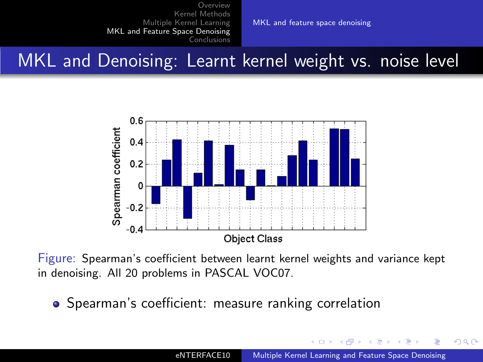[MKL and feature space denoising](#page-32-0)

MKL and Denoising: Learnt kernel weight vs. noise level



Figure: Spearman's coefficient between learnt kernel weights and variance kept in denoising. All 20 problems in PASCAL VOC07.

• Spearman's coefficient: measure ranking correlation

 $QQ$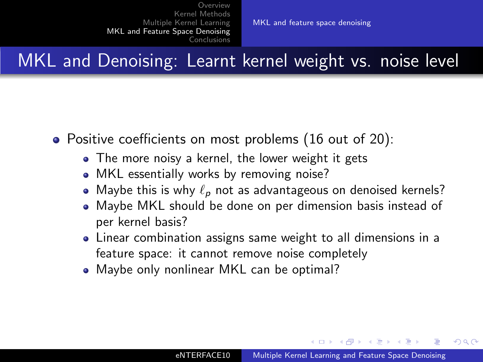[MKL and feature space denoising](#page-32-0)

MKL and Denoising: Learnt kernel weight vs. noise level

- Positive coefficients on most problems (16 out of 20):
	- The more noisy a kernel, the lower weight it gets
	- MKL essentially works by removing noise?
	- $\bullet$  Maybe this is why  $\ell_{\bm{\rho}}$  not as advantageous on denoised kernels?
	- Maybe MKL should be done on per dimension basis instead of per kernel basis?
	- Linear combination assigns same weight to all dimensions in a feature space: it cannot remove noise completely
	- Maybe only nonlinear MKL can be optimal?

ィロト イタト イモト イモト

つくへ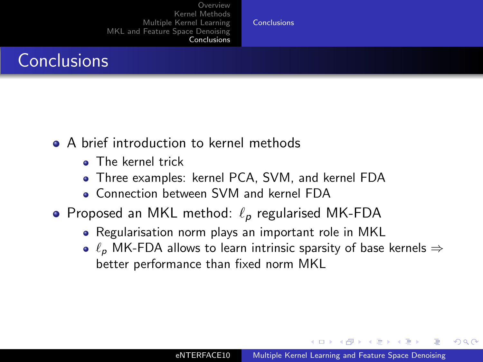[Conclusions](#page-37-0)

### **Conclusions**

- A brief introduction to kernel methods
	- **a** The kernel trick
	- Three examples: kernel PCA, SVM, and kernel FDA
	- Connection between SVM and kernel FDA
- Proposed an MKL method:  $\ell_p$  regularised MK-FDA
	- Regularisation norm plays an important role in MKL
	- $\ell_p$  MK-FDA allows to learn intrinsic sparsity of base kernels  $\Rightarrow$ better performance than fixed norm MKL

<span id="page-37-0"></span>- ④ 骨 ≯ ④ 手 ≯ ④ 手 ≯